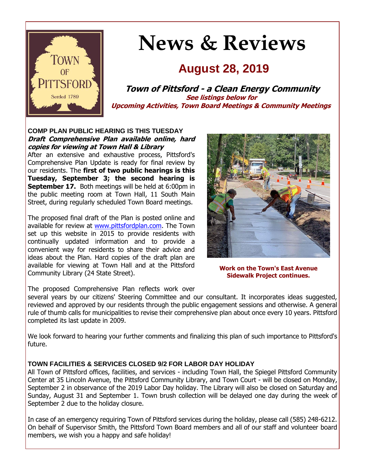

# **News & Reviews**

## **August 28, 2019**

**Town of Pittsford - a Clean Energy Community See listings below for Upcoming Activities, Town Board Meetings & Community Meetings**

#### **COMP PLAN PUBLIC HEARING IS THIS TUESDAY Draft Comprehensive Plan available online, hard copies for viewing at Town Hall & Library**

After an extensive and exhaustive process, Pittsford's Comprehensive Plan Update is ready for final review by our residents. The **first of two public hearings is this Tuesday, September 3; the second hearing is September 17.** Both meetings will be held at 6:00pm in the public meeting room at Town Hall, 11 South Main Street, during regularly scheduled Town Board meetings.

The proposed final draft of the Plan is posted online and available for review at [www.pittsfordplan.com.](http://r20.rs6.net/tn.jsp?f=001l_w9bJ1rk-gwnx9T6l9AA03qu3HdVf7nQtBAfC94LNd_psIfgXiJmlQ_bP4hYRgKkQVhkclcaJGYkJGK-lsi1iZLHhzVjzq9kPLFJUY3beuaR8m962Wwpf-5U2nDxF3xzQHcqWNqd2S6VOzoguVWkHMPY8pKeWeI1EcPj55Abreb6n7j4WWgrMFBTieboiaVPmZ0pI3DpVQz1asFhS1DclgQU2tWMSUJwHRtoyuteaj7d9Pnz2-B7ZN_LxEC925aX77_flgGadSi0cuujOPXzJfM7aQtIcquHkaaKVEgr2A=&c=4H-lUsxTides4so3Z41xPtMdoJIko8IJWjpS5lYvo0e5cxUSuWqpow==&ch=CSPXwoAT-4fRZQmj8K5EHlNJ4e8a4l20StnmP8mRTCB-UaeWuEye7A==) The Town set up this website in 2015 to provide residents with continually updated information and to provide a convenient way for residents to share their advice and ideas about the Plan. Hard copies of the draft plan are available for viewing at Town Hall and at the Pittsford Community Library (24 State Street).



**Work on the Town's East Avenue Sidewalk Project continues.**

The proposed Comprehensive Plan reflects work over

several years by our citizens' Steering Committee and our consultant. It incorporates ideas suggested, reviewed and approved by our residents through the public engagement sessions and otherwise. A general rule of thumb calls for municipalities to revise their comprehensive plan about once every 10 years. Pittsford completed its last update in 2009.

We look forward to hearing your further comments and finalizing this plan of such importance to Pittsford's future.

#### **TOWN FACILITIES & SERVICES CLOSED 9/2 FOR LABOR DAY HOLIDAY**

All Town of Pittsford offices, facilities, and services - including Town Hall, the Spiegel Pittsford Community Center at 35 Lincoln Avenue, the Pittsford Community Library, and Town Court - will be closed on Monday, September 2 in observance of the 2019 Labor Day holiday. The Library will also be closed on Saturday and Sunday, August 31 and September 1. Town brush collection will be delayed one day during the week of September 2 due to the holiday closure.

In case of an emergency requiring Town of Pittsford services during the holiday, please call (585) 248-6212. On behalf of Supervisor Smith, the Pittsford Town Board members and all of our staff and volunteer board members, we wish you a happy and safe holiday!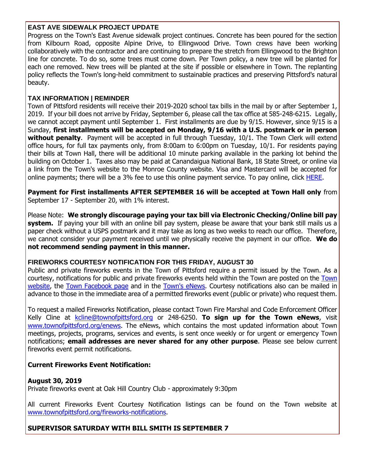#### **EAST AVE SIDEWALK PROJECT UPDATE**

Progress on the Town's East Avenue sidewalk project continues. Concrete has been poured for the section from Kilbourn Road, opposite Alpine Drive, to Ellingwood Drive. Town crews have been working collaboratively with the contractor and are continuing to prepare the stretch from Ellingwood to the Brighton line for concrete. To do so, some trees must come down. Per Town policy, a new tree will be planted for each one removed. New trees will be planted at the site if possible or elsewhere in Town. The replanting policy reflects the Town's long-held commitment to sustainable practices and preserving Pittsford's natural beauty.

#### **TAX INFORMATION | REMINDER**

Town of Pittsford residents will receive their 2019-2020 school tax bills in the mail by or after September 1, 2019. If your bill does not arrive by Friday, September 6, please call the tax office at 585-248-6215. Legally, we cannot accept payment until September 1. First installments are due by 9/15. However, since 9/15 is a Sunday, **first installments will be accepted on Monday, 9/16 with a U.S. postmark or in person without penalty**. Payment will be accepted in full through Tuesday, 10/1. The Town Clerk will extend office hours, for full tax payments only, from 8:00am to 6:00pm on Tuesday, 10/1. For residents paying their bills at Town Hall, there will be additional 10 minute parking available in the parking lot behind the building on October 1. Taxes also may be paid at Canandaigua National Bank, 18 State Street, or online via a link from the Town's website to the Monroe County website. Visa and Mastercard will be accepted for online payments; there will be a 3% fee to use this online payment service. To pay online, click [HERE.](http://r20.rs6.net/tn.jsp?f=001l_w9bJ1rk-gwnx9T6l9AA03qu3HdVf7nQtBAfC94LNd_psIfgXiJmpB4SzK6iljFV1p0XmtROA_1I5sQAQ4ty0OYu12u7QE8yYzRLKD2UuCHdfam5jhD_Dk5njKMVnJlRnxu4sT_1ypc0NPKC3QCwggwM-gEoiz7to6WMf4iXN4ArYzWNK6YKmX-YxvnHeu7xXN5tLPgsn-LkLqLqKBQLpCv7DDQKLEm8dn7xaimwor0bg0-zcks2WPXeSeZHUbEgEf966TWwR3M4gRABwM36bZlAV7ObWX5F6DfDFVvPmfuHmY5JpXOFZh5-BkUh3x0&c=4H-lUsxTides4so3Z41xPtMdoJIko8IJWjpS5lYvo0e5cxUSuWqpow==&ch=CSPXwoAT-4fRZQmj8K5EHlNJ4e8a4l20StnmP8mRTCB-UaeWuEye7A==)

**Payment for First installments AFTER SEPTEMBER 16 will be accepted at Town Hall only** from September 17 - September 20, with 1% interest.

Please Note: **We strongly discourage paying your tax bill via Electronic Checking/Online bill pay system.** If paying your bill with an online bill pay system, please be aware that your bank still mails us a paper check without a USPS postmark and it may take as long as two weeks to reach our office. Therefore, we cannot consider your payment received until we physically receive the payment in our office. **We do not recommend sending payment in this manner.**

#### **FIREWORKS COURTESY NOTIFICATION FOR THIS FRIDAY, AUGUST 30**

Public and private fireworks events in the Town of Pittsford require a permit issued by the Town. As a courtesy, notifications for public and private fireworks events held within the Town are posted on the [Town](http://r20.rs6.net/tn.jsp?f=001l_w9bJ1rk-gwnx9T6l9AA03qu3HdVf7nQtBAfC94LNd_psIfgXiJmnzOjZXDRCztuhhyTXB5c8n3E9UOFYssRyfSKhaprvCMJhC6OU7wcCbpgavQBOQSJdNeJk4dymtFx1tpZBOPBkdswoUoEE9NQvK4RsdBu1ecCMLoADy85l6aGHKDOzc8SwqbWz7xx1HmtjnDGgQjlO_R_31I8IqqUckhJPDyYwHvBLjMO9zjK9O4JsR5RHLxNhKJ-ZyV1_h_XGZSmrhZq672l6N_nnmz4GmIT-s-UmYSCSnPy_YD0AZiu71AUZEN3nLBd7v4ZFsmZ1xr4-NZEQM=&c=4H-lUsxTides4so3Z41xPtMdoJIko8IJWjpS5lYvo0e5cxUSuWqpow==&ch=CSPXwoAT-4fRZQmj8K5EHlNJ4e8a4l20StnmP8mRTCB-UaeWuEye7A==)  [website,](http://r20.rs6.net/tn.jsp?f=001l_w9bJ1rk-gwnx9T6l9AA03qu3HdVf7nQtBAfC94LNd_psIfgXiJmnzOjZXDRCztuhhyTXB5c8n3E9UOFYssRyfSKhaprvCMJhC6OU7wcCbpgavQBOQSJdNeJk4dymtFx1tpZBOPBkdswoUoEE9NQvK4RsdBu1ecCMLoADy85l6aGHKDOzc8SwqbWz7xx1HmtjnDGgQjlO_R_31I8IqqUckhJPDyYwHvBLjMO9zjK9O4JsR5RHLxNhKJ-ZyV1_h_XGZSmrhZq672l6N_nnmz4GmIT-s-UmYSCSnPy_YD0AZiu71AUZEN3nLBd7v4ZFsmZ1xr4-NZEQM=&c=4H-lUsxTides4so3Z41xPtMdoJIko8IJWjpS5lYvo0e5cxUSuWqpow==&ch=CSPXwoAT-4fRZQmj8K5EHlNJ4e8a4l20StnmP8mRTCB-UaeWuEye7A==) the [Town Facebook page](http://r20.rs6.net/tn.jsp?f=001l_w9bJ1rk-gwnx9T6l9AA03qu3HdVf7nQtBAfC94LNd_psIfgXiJmigTl6Cl_pqIKMIQeyNBfi6wdKNTee0QieZEvmN63tr4Bw5A48JX9BBigb6kOcHr7D_MMS6c5onGdWbfqoYg1OkB8H4TGaNUyMndwU8-VVyEYP6frsrv-veGzGio9IwyNGnWZPc6jTUsIKzDQzOyiIQVNNNwDoa2feLgLm2Gz3Sm&c=4H-lUsxTides4so3Z41xPtMdoJIko8IJWjpS5lYvo0e5cxUSuWqpow==&ch=CSPXwoAT-4fRZQmj8K5EHlNJ4e8a4l20StnmP8mRTCB-UaeWuEye7A==) and in the [Town's eNews.](http://r20.rs6.net/tn.jsp?f=001l_w9bJ1rk-gwnx9T6l9AA03qu3HdVf7nQtBAfC94LNd_psIfgXiJmigTl6Cl_pqI39TkjxQ2CTz_pdiAVLBO4uLo3Pe6z4ILnNPt4vsAG7IvTgcfFOvJm_Rc3JvYkl6hj-9IBzya53aOa8i5ICXs_oQP34QUCcQTzL8ELJqT9_SAzXxp8feIJOKNRRWvN1-siruBfoDenJbU3M6MLMb3prItmIOtL_i2TgzsTeqGn10uNIT2x8Y0a83lW0xh4tUt_kr809Gc6sCFtUi7G7NHYKC2PiKmJ6N6dInzTSWGkMRgtQK4oOs3SQ==&c=4H-lUsxTides4so3Z41xPtMdoJIko8IJWjpS5lYvo0e5cxUSuWqpow==&ch=CSPXwoAT-4fRZQmj8K5EHlNJ4e8a4l20StnmP8mRTCB-UaeWuEye7A==) Courtesy notifications also can be mailed in advance to those in the immediate area of a permitted fireworks event (public or private) who request them.

To request a mailed Fireworks Notification, please contact Town Fire Marshal and Code Enforcement Officer Kelly Cline at [kcline@townofpittsford.org](mailto:kcline@townofpittsford.or?subject=Town%20Fireworks%20Courtesy%20Notification) or 248-6250. **To sign up for the Town eNews**, visit [www.townofpittsford.org/enews.](http://r20.rs6.net/tn.jsp?f=001l_w9bJ1rk-gwnx9T6l9AA03qu3HdVf7nQtBAfC94LNd_psIfgXiJmigTl6Cl_pqI39TkjxQ2CTz_pdiAVLBO4uLo3Pe6z4ILnNPt4vsAG7IvTgcfFOvJm_Rc3JvYkl6hj-9IBzya53aOa8i5ICXs_oQP34QUCcQTzL8ELJqT9_SAzXxp8feIJOKNRRWvN1-siruBfoDenJbU3M6MLMb3prItmIOtL_i2TgzsTeqGn10uNIT2x8Y0a83lW0xh4tUt_kr809Gc6sCFtUi7G7NHYKC2PiKmJ6N6dInzTSWGkMRgtQK4oOs3SQ==&c=4H-lUsxTides4so3Z41xPtMdoJIko8IJWjpS5lYvo0e5cxUSuWqpow==&ch=CSPXwoAT-4fRZQmj8K5EHlNJ4e8a4l20StnmP8mRTCB-UaeWuEye7A==) The eNews, which contains the most updated information about Town meetings, projects, programs, services and events, is sent once weekly or for urgent or emergency Town notifications; **email addresses are never shared for any other purpose**. Please see below current fireworks event permit notifications.

#### **Current Fireworks Event Notification:**

#### **August 30, 2019**

Private fireworks event at Oak Hill Country Club - approximately 9:30pm

All current Fireworks Event Courtesy Notification listings can be found on the Town website at [www.townofpittsford.org/fireworks-notifications.](http://r20.rs6.net/tn.jsp?f=001l_w9bJ1rk-gwnx9T6l9AA03qu3HdVf7nQtBAfC94LNd_psIfgXiJmnzOjZXDRCztuhhyTXB5c8n3E9UOFYssRyfSKhaprvCMJhC6OU7wcCbpgavQBOQSJdNeJk4dymtFx1tpZBOPBkdswoUoEE9NQvK4RsdBu1ecCMLoADy85l6aGHKDOzc8SwqbWz7xx1HmtjnDGgQjlO_R_31I8IqqUckhJPDyYwHvBLjMO9zjK9O4JsR5RHLxNhKJ-ZyV1_h_XGZSmrhZq672l6N_nnmz4GmIT-s-UmYSCSnPy_YD0AZiu71AUZEN3nLBd7v4ZFsmZ1xr4-NZEQM=&c=4H-lUsxTides4so3Z41xPtMdoJIko8IJWjpS5lYvo0e5cxUSuWqpow==&ch=CSPXwoAT-4fRZQmj8K5EHlNJ4e8a4l20StnmP8mRTCB-UaeWuEye7A==)

#### **SUPERVISOR SATURDAY WITH BILL SMITH IS SEPTEMBER 7**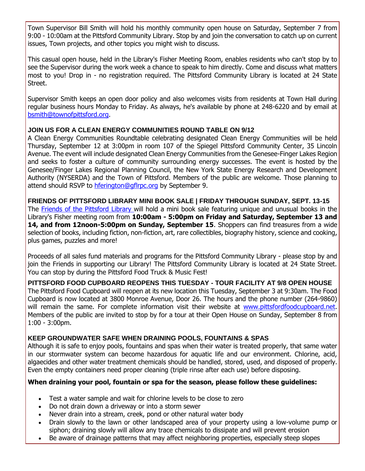Town Supervisor Bill Smith will hold his monthly community open house on Saturday, September 7 from 9:00 - 10:00am at the Pittsford Community Library. Stop by and join the conversation to catch up on current issues, Town projects, and other topics you might wish to discuss.

This casual open house, held in the Library's Fisher Meeting Room, enables residents who can't stop by to see the Supervisor during the work week a chance to speak to him directly. Come and discuss what matters most to you! Drop in - no registration required. The Pittsford Community Library is located at 24 State Street.

Supervisor Smith keeps an open door policy and also welcomes visits from residents at Town Hall during regular business hours Monday to Friday. As always, he's available by phone at 248-6220 and by email at [bsmith@townofpittsford.org.](mailto:bsmith@townofpittsford.org)

#### **JOIN US FOR A CLEAN ENERGY COMMUNITIES ROUND TABLE ON 9/12**

A Clean Energy Communities Roundtable celebrating designated Clean Energy Communities will be held Thursday, September 12 at 3:00pm in room 107 of the Spiegel Pittsford Community Center, 35 Lincoln Avenue. The event will include designated Clean Energy Communities from the Genesee-Finger Lakes Region and seeks to foster a culture of community surrounding energy successes. The event is hosted by the Genesee/Finger Lakes Regional Planning Council, the New York State Energy Research and Development Authority (NYSERDA) and the Town of Pittsford. Members of the public are welcome. Those planning to attend should RSVP to [hferington@gflrpc.org](mailto:hferington@gflrpc.org?subject=Clean%20Energy%20Communities%20Roundtable%209-12-19) by September 9.

**FRIENDS OF PITTSFORD LIBRARY MINI BOOK SALE | FRIDAY THROUGH SUNDAY, SEPT. 13-15** The [Friends of the Pittsford Library w](http://r20.rs6.net/tn.jsp?f=001l_w9bJ1rk-gwnx9T6l9AA03qu3HdVf7nQtBAfC94LNd_psIfgXiJmoJOToH-17fcAz0TgNgkBPXrBqY8nD2tMQ5uZbuVYo2H80eUgOMbx1V3d76wlVAv2kxyQoqMAzg0Fn7w1OAPKJyAD2XJoyZuol4PXSJlMINe9g9FGMPW4MnK1wW5vss_NNTF_4qSjUU60ODXR0FN-B8Kty2ca5aK-ZRlAomrKK0q-pnPLa8wpZgsKt69awlaqUuuXCG_RRpDfHsANOFSJECPRijXN4mDeJOwR7hlcY0hiVSlMLfs6A3Oejul2gUwQQ==&c=4H-lUsxTides4so3Z41xPtMdoJIko8IJWjpS5lYvo0e5cxUSuWqpow==&ch=CSPXwoAT-4fRZQmj8K5EHlNJ4e8a4l20StnmP8mRTCB-UaeWuEye7A==)ill hold a mini book sale featuring unique and unusual books in the Library's Fisher meeting room from **10:00am - 5:00pm on Friday and Saturday, September 13 and 14, and from 12noon-5:00pm on Sunday, September 15.** Shoppers can find treasures from a wide selection of books, including fiction, non-fiction, art, rare collectibles, biography history, science and cooking, plus games, puzzles and more!

Proceeds of all sales fund materials and programs for the Pittsford Community Library - please stop by and join the Friends in supporting our Library! The Pittsford Community Library is located at 24 State Street. You can stop by during the Pittsford Food Truck & Music Fest!

**PITTSFORD FOOD CUPBOARD REOPENS THIS TUESDAY - TOUR FACILITY AT 9/8 OPEN HOUSE** The Pittsford Food Cupboard will reopen at its new location this Tuesday, September 3 at 9:30am. The Food Cupboard is now located at 3800 Monroe Avenue, Door 26. The hours and the phone number (264-9860) will remain the same. For complete information visit their website at [www.pittsfordfoodcupboard.net.](http://r20.rs6.net/tn.jsp?f=001l_w9bJ1rk-gwnx9T6l9AA03qu3HdVf7nQtBAfC94LNd_psIfgXiJmoJOToH-17fcP7ZVHHA5G7Ub1iwhUjgK8vmvUjOnsWXqV3JkVRUrNO-2I7-lAyFeO89PRCz5BKSSW0_P3pPKq0LHCg3VxRnRTOOe9fOJ5dKGTJuOYrQqqpD28m3aDR2wk3RMVDrngbwip7sIM4SpjA4dRg5GXfXbNBlP1gpCNKndA-qHO_FQsNMXG2wfdN9DvWUTJpz9DdqoNVJ6x6JSRbCDY3wCCJ8MkxZlXw1jWzTCFCm4xijkaamTXvYkgDl8Yw==&c=4H-lUsxTides4so3Z41xPtMdoJIko8IJWjpS5lYvo0e5cxUSuWqpow==&ch=CSPXwoAT-4fRZQmj8K5EHlNJ4e8a4l20StnmP8mRTCB-UaeWuEye7A==) Members of the public are invited to stop by for a tour at their Open House on Sunday, September 8 from 1:00 - 3:00pm.

#### **KEEP GROUNDWATER SAFE WHEN DRAINING POOLS, FOUNTAINS & SPAS**

Although it is safe to enjoy pools, fountains and spas when their water is treated properly, that same water in our stormwater system can become hazardous for aquatic life and our environment. Chlorine, acid, algaecides and other water treatment chemicals should be handled, stored, used, and disposed of properly. Even the empty containers need proper cleaning (triple rinse after each use) before disposing.

#### **When draining your pool, fountain or spa for the season, please follow these guidelines:**

- Test a water sample and wait for chlorine levels to be close to zero
- Do not drain down a driveway or into a storm sewer
- Never drain into a stream, creek, pond or other natural water body
- Drain slowly to the lawn or other landscaped area of your property using a low-volume pump or siphon; draining slowly will allow any trace chemicals to dissipate and will prevent erosion
- Be aware of drainage patterns that may affect neighboring properties, especially steep slopes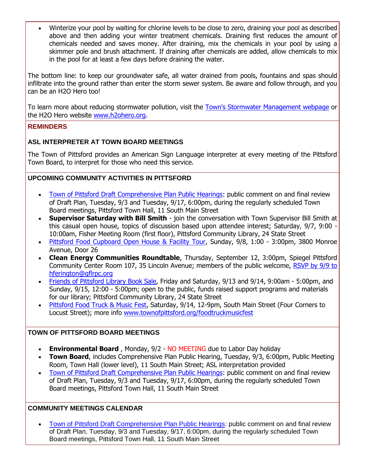Winterize your pool by waiting for chlorine levels to be close to zero, draining your pool as described above and then adding your winter treatment chemicals. Draining first reduces the amount of chemicals needed and saves money. After draining, mix the chemicals in your pool by using a skimmer pole and brush attachment. If draining after chemicals are added, allow chemicals to mix in the pool for at least a few days before draining the water.

The bottom line: to keep our groundwater safe, all water drained from pools, fountains and spas should infiltrate into the ground rather than enter the storm sewer system. Be aware and follow through, and you can be an H2O Hero too!

To learn more about reducing stormwater pollution, visit the [Town's Stormwater Management webpage](http://r20.rs6.net/tn.jsp?f=001l_w9bJ1rk-gwnx9T6l9AA03qu3HdVf7nQtBAfC94LNd_psIfgXiJmgapRthLKihYkFvA9gce6kNZYzLUEMNywsgSDoSkrkvyrn0kC12YGI7UarurAOxTotI0B8K5coG4I-1-rEJX0nWCTBlaBDSnh0Wfwi9mKB8-DHqDXjjfpes6DCjgemYm2etubYZ4PAfafgSXXIK8ifZWp0ftlQyi5fEkKgOzx9zTQuasYVoyD7GMkbB8PiGFWRdtPMJfrroZLbePYbVUuEWiTLKQxuEEfmQungqrm5ZElPYLwfUzVJ7H39iSfZINDYVx6dlnVMGxTkzCJVRJwoMjl0vJDNT4D3-NakY0v3-m&c=4H-lUsxTides4so3Z41xPtMdoJIko8IJWjpS5lYvo0e5cxUSuWqpow==&ch=CSPXwoAT-4fRZQmj8K5EHlNJ4e8a4l20StnmP8mRTCB-UaeWuEye7A==) or the H2O Hero website [www.h2ohero.org.](http://r20.rs6.net/tn.jsp?f=001l_w9bJ1rk-gwnx9T6l9AA03qu3HdVf7nQtBAfC94LNd_psIfgXiJmrVZ_olH6q4V4lPiRnVCwo2fzcTl_YF29-SFdxCpu5p0sNgYfyiewAiGHzKFGtAS4jS7X2Wrl8ZnyewkmxxWjOAQVh_8AOq-FglNuN2DLhiAOksS3cWrRWx_WdBdJ-oCJeBvEUrRLAvRYPP17SkbxbSI7DiGnlFGSiYwAp7CeNOs7jO45Z7ALbzepYNjFlmFKkhu0KkO-fqZwpH6fayBxOzS7Z-sTrbdz3pSCvtH4OiY&c=4H-lUsxTides4so3Z41xPtMdoJIko8IJWjpS5lYvo0e5cxUSuWqpow==&ch=CSPXwoAT-4fRZQmj8K5EHlNJ4e8a4l20StnmP8mRTCB-UaeWuEye7A==)

#### **REMINDERS**

#### **ASL INTERPRETER AT TOWN BOARD MEETINGS**

The Town of Pittsford provides an American Sign Language interpreter at every meeting of the Pittsford Town Board, to interpret for those who need this service.

#### **UPCOMING COMMUNITY ACTIVITIES IN PITTSFORD**

- [Town of Pittsford Draft Comprehensive Plan Public Hearings:](http://r20.rs6.net/tn.jsp?f=001l_w9bJ1rk-gwnx9T6l9AA03qu3HdVf7nQtBAfC94LNd_psIfgXiJmhxnmPDQszkcejDPdJA_CCEIh4WyVe8oNCDl3mE8M466QL97qqClKgeylU-rhfMdY0HEXtfswq4w1sZu5AgORs0VVPyIzyeUXD8fSsAUdGn8Kyg_cW6Vl6XT43Luwz2DnHYkWxHmQeDWJFCDYAJexIHVw_MeG6THa8maFIdjQPe0lPh4e768Q0AYAN8ptwQ8R3jJ2sVv5_eYvnnounQdtzqAFOUH4UynPjWR85JaARzaNrkchvEAfpgkguLBokWjs9DVjO6EVbge&c=4H-lUsxTides4so3Z41xPtMdoJIko8IJWjpS5lYvo0e5cxUSuWqpow==&ch=CSPXwoAT-4fRZQmj8K5EHlNJ4e8a4l20StnmP8mRTCB-UaeWuEye7A==) public comment on and final review of Draft Plan, Tuesday, 9/3 and Tuesday, 9/17, 6:00pm, during the regularly scheduled Town Board meetings, Pittsford Town Hall, 11 South Main Street
- **Supervisor Saturday with Bill Smith** join the conversation with Town Supervisor Bill Smith at this casual open house, topics of discussion based upon attendee interest; Saturday, 9/7, 9:00 -10:00am, Fisher Meeting Room (first floor), Pittsford Community Library, 24 State Street
- [Pittsford Food Cupboard Open House & Facility Tour,](http://r20.rs6.net/tn.jsp?f=001l_w9bJ1rk-gwnx9T6l9AA03qu3HdVf7nQtBAfC94LNd_psIfgXiJmoJOToH-17fcP7ZVHHA5G7Ub1iwhUjgK8vmvUjOnsWXqV3JkVRUrNO-2I7-lAyFeO89PRCz5BKSSW0_P3pPKq0LHCg3VxRnRTOOe9fOJ5dKGTJuOYrQqqpD28m3aDR2wk3RMVDrngbwip7sIM4SpjA4dRg5GXfXbNBlP1gpCNKndA-qHO_FQsNMXG2wfdN9DvWUTJpz9DdqoNVJ6x6JSRbCDY3wCCJ8MkxZlXw1jWzTCFCm4xijkaamTXvYkgDl8Yw==&c=4H-lUsxTides4so3Z41xPtMdoJIko8IJWjpS5lYvo0e5cxUSuWqpow==&ch=CSPXwoAT-4fRZQmj8K5EHlNJ4e8a4l20StnmP8mRTCB-UaeWuEye7A==) Sunday, 9/8, 1:00 3:00pm, 3800 Monroe Avenue, Door 26
- **Clean Energy Communities Roundtable**, Thursday, September 12, 3:00pm, Spiegel Pittsford Community Center Room 107, 35 Lincoln Avenue; members of the public welcome, RSVP by 9/9 to [hferington@gflrpc.org](mailto:hferington@gflrpc.org)
- [Friends of Pittsford Library Book Sale,](http://r20.rs6.net/tn.jsp?f=001l_w9bJ1rk-gwnx9T6l9AA03qu3HdVf7nQtBAfC94LNd_psIfgXiJmmzkOxYer7Hl9QjMN7ECbE2t9kdyXlPw4LUkeUC8syRr_SKU3ZmuxvCjjSAO4EVk7IdoLD9Yuh1fMXUg2TGT_5kpoU_ihb_n3f5IqWsL-_I-BLcC0bY5-VK45HxAjhmzFxPBEL6JmtJ-l5ansXa5j5jXys_QY08_DrjOt339uNAMjp5fdbrB8ImHjTF7adP-qCjaBCaMR91x-L-yPkAJBnDxz9gvPtPuWGI9zacCrspaz0FsBIasnHgZ1olcTETPZCVsiEBOhhEi&c=4H-lUsxTides4so3Z41xPtMdoJIko8IJWjpS5lYvo0e5cxUSuWqpow==&ch=CSPXwoAT-4fRZQmj8K5EHlNJ4e8a4l20StnmP8mRTCB-UaeWuEye7A==) Friday and Saturday, 9/13 and 9/14, 9:00am 5:00pm, and Sunday, 9/15, 12:00 - 5:00pm; open to the public, funds raised support programs and materials for our library; Pittsford Community Library, 24 State Street
- [Pittsford Food Truck & Music Fest,](http://r20.rs6.net/tn.jsp?f=001l_w9bJ1rk-gwnx9T6l9AA03qu3HdVf7nQtBAfC94LNd_psIfgXiJmmieV1BJvYWNlq_WNHkxsgJUGlGjh1qdSJ48PcvBrs76QYUga1Vk5SEq_iGV2KlOk1UlDn3Vik8rvvypLY9b9jDqjMMvE2pfC1P7z0ZoQvch4kZ4lDZ1CUkRcVuwaO44HzBnoqSdxIX0d03zPFoHnHJamj8vXItNRLm4-hOD3UoXVAjc6iZTeCsNiP2qhmbv3z94rEfpVbygQRklE_6pqdhalL12jJAILZNsV_ZtvocXHhmnqmO5WHXVlDdbn7c27ynoyKfac5Ak&c=4H-lUsxTides4so3Z41xPtMdoJIko8IJWjpS5lYvo0e5cxUSuWqpow==&ch=CSPXwoAT-4fRZQmj8K5EHlNJ4e8a4l20StnmP8mRTCB-UaeWuEye7A==) Saturday, 9/14, 12-9pm, South Main Street (Four Corners to Locust Street); more info [www.townofpittsford.org/foodtruckmusicfest](http://r20.rs6.net/tn.jsp?f=001l_w9bJ1rk-gwnx9T6l9AA03qu3HdVf7nQtBAfC94LNd_psIfgXiJmj7Bq35hTMxmxrNhkLDjBvaDr1gxg_1djuZJSzVBxrTmHKzcWFzXzGYBSoqrJKz5ZrbB12Y0AgAOZgixvbDvdeUKkQKG_uEUSwsYj_VB9qBD6KonKKI3VFhwi3CC2D_J0n1gEf3UbMWN-b_kVsl0yy5jqO9miTT6LxqMcxrQxzYBpig0UcdP1UYFA8djzCrTQm2Mueo7LrJayQKR4U9f-yCgghD-4qWdoMbWD-y0ohwEuSJce015mMDuPUXgyNiZl03501xD3zHR&c=4H-lUsxTides4so3Z41xPtMdoJIko8IJWjpS5lYvo0e5cxUSuWqpow==&ch=CSPXwoAT-4fRZQmj8K5EHlNJ4e8a4l20StnmP8mRTCB-UaeWuEye7A==)

#### **TOWN OF PITTSFORD BOARD MEETINGS**

- **Environmental Board** , Monday, 9/2 NO MEETING due to Labor Day holiday
- **Town Board**, includes Comprehensive Plan Public Hearing, Tuesday, 9/3, 6:00pm, Public Meeting Room, Town Hall (lower level), 11 South Main Street; ASL interpretation provided
- [Town of Pittsford Draft Comprehensive Plan Public Hearings:](http://r20.rs6.net/tn.jsp?f=001l_w9bJ1rk-gwnx9T6l9AA03qu3HdVf7nQtBAfC94LNd_psIfgXiJmhxnmPDQszkcejDPdJA_CCEIh4WyVe8oNCDl3mE8M466QL97qqClKgeylU-rhfMdY0HEXtfswq4w1sZu5AgORs0VVPyIzyeUXD8fSsAUdGn8Kyg_cW6Vl6XT43Luwz2DnHYkWxHmQeDWJFCDYAJexIHVw_MeG6THa8maFIdjQPe0lPh4e768Q0AYAN8ptwQ8R3jJ2sVv5_eYvnnounQdtzqAFOUH4UynPjWR85JaARzaNrkchvEAfpgkguLBokWjs9DVjO6EVbge&c=4H-lUsxTides4so3Z41xPtMdoJIko8IJWjpS5lYvo0e5cxUSuWqpow==&ch=CSPXwoAT-4fRZQmj8K5EHlNJ4e8a4l20StnmP8mRTCB-UaeWuEye7A==) public comment on and final review of Draft Plan, Tuesday, 9/3 and Tuesday, 9/17, 6:00pm, during the regularly scheduled Town Board meetings, Pittsford Town Hall, 11 South Main Street

#### **COMMUNITY MEETINGS CALENDAR**

 [Town of Pittsford Draft Comprehensive Plan Public Hearings:](http://r20.rs6.net/tn.jsp?f=001l_w9bJ1rk-gwnx9T6l9AA03qu3HdVf7nQtBAfC94LNd_psIfgXiJmhxnmPDQszkcejDPdJA_CCEIh4WyVe8oNCDl3mE8M466QL97qqClKgeylU-rhfMdY0HEXtfswq4w1sZu5AgORs0VVPyIzyeUXD8fSsAUdGn8Kyg_cW6Vl6XT43Luwz2DnHYkWxHmQeDWJFCDYAJexIHVw_MeG6THa8maFIdjQPe0lPh4e768Q0AYAN8ptwQ8R3jJ2sVv5_eYvnnounQdtzqAFOUH4UynPjWR85JaARzaNrkchvEAfpgkguLBokWjs9DVjO6EVbge&c=4H-lUsxTides4so3Z41xPtMdoJIko8IJWjpS5lYvo0e5cxUSuWqpow==&ch=CSPXwoAT-4fRZQmj8K5EHlNJ4e8a4l20StnmP8mRTCB-UaeWuEye7A==) public comment on and final review of Draft Plan, Tuesday, 9/3 and Tuesday, 9/17, 6:00pm, during the regularly scheduled Town Board meetings, Pittsford Town Hall, 11 South Main Street